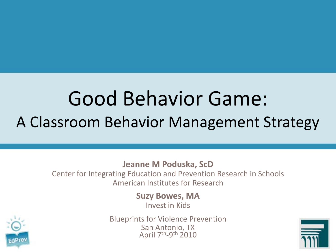#### Good Behavior Game: A Classroom Behavior Management Strategy

#### **Jeanne M Poduska, ScD**

Center for Integrating Education and Prevention Research in Schools American Institutes for Research

**Suzy Bowes, MA**

Invest in Kids



Blueprints for Violence Prevention San Antonio, TX April 7th-9th 2010

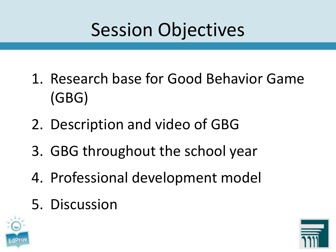## Session Objectives

- 1. Research base for Good Behavior Game (GBG)
- 2. Description and video of GBG
- 3. GBG throughout the school year
- 4. Professional development model
- 5. Discussion



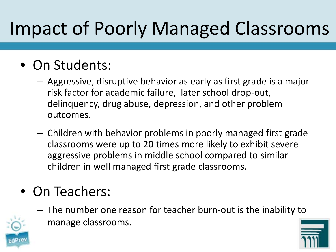## Impact of Poorly Managed Classrooms

#### • On Students:

- Aggressive, disruptive behavior as early as first grade is a major risk factor for academic failure, later school drop-out, delinquency, drug abuse, depression, and other problem outcomes.
- Children with behavior problems in poorly managed first grade classrooms were up to 20 times more likely to exhibit severe aggressive problems in middle school compared to similar children in well managed first grade classrooms.

#### • On Teachers:

– The number one reason for teacher burn-out is the inability to manage classrooms.



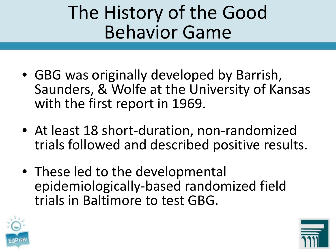### The History of the Good Behavior Game

- GBG was originally developed by Barrish, Saunders, & Wolfe at the University of Kansas with the first report in 1969.
- At least 18 short-duration, non-randomized trials followed and described positive results.
- These led to the developmental epidemiologically-based randomized field trials in Baltimore to test GBG.



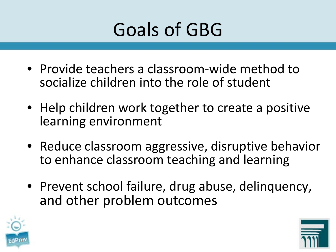

- Provide teachers a classroom-wide method to socialize children into the role of student
- Help children work together to create a positive learning environment
- Reduce classroom aggressive, disruptive behavior to enhance classroom teaching and learning
- Prevent school failure, drug abuse, delinquency, and other problem outcomes



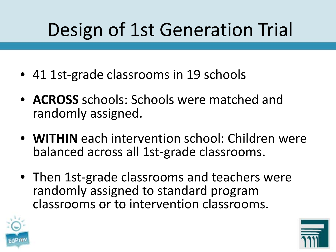## Design of 1st Generation Trial

- 41 1st-grade classrooms in 19 schools
- **ACROSS** schools: Schools were matched and randomly assigned.
- **WITHIN** each intervention school: Children were balanced across all 1st-grade classrooms.
- Then 1st-grade classrooms and teachers were randomly assigned to standard program classrooms or to intervention classrooms.



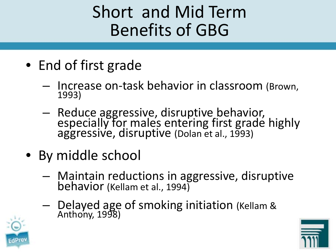#### Short and Mid Term Benefits of GBG

- End of first grade
	- Increase on-task behavior in classroom (Brown, 1993)
	- Reduce aggressive, disruptive behavior, especially for males entering first grade highly aggressive, disruptive (Dolan et al., 1993)
- By middle school
	- Maintain reductions in aggressive, disruptive behavior (Kellam et al., 1994)
	- Delayed age of smoking initiation (Kellam & Anthony, 1998)



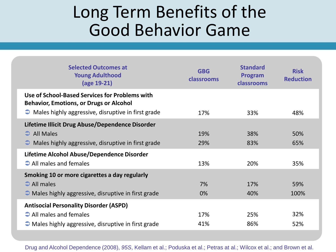#### Long Term Benefits of the Good Behavior Game

| <b>Selected Outcomes at</b><br><b>Young Adulthood</b><br>(age 19-21)                                                                                             | <b>GBG</b><br>classrooms | <b>Standard</b><br>Program<br>classrooms | <b>Risk</b><br><b>Reduction</b> |
|------------------------------------------------------------------------------------------------------------------------------------------------------------------|--------------------------|------------------------------------------|---------------------------------|
| Use of School-Based Services for Problems with<br><b>Behavior, Emotions, or Drugs or Alcohol</b><br>$\bullet$ Males highly aggressive, disruptive in first grade | 17%                      | 33%                                      | 48%                             |
| Lifetime Illicit Drug Abuse/Dependence Disorder<br><b>All Males</b><br>$\bullet$ Males highly aggressive, disruptive in first grade                              | 19%<br>29%               | 38%<br>83%                               | 50%<br>65%                      |
| Lifetime Alcohol Abuse/Dependence Disorder<br>$\Rightarrow$ All males and females                                                                                | 13%                      | 20%                                      | 35%                             |
| Smoking 10 or more cigarettes a day regularly<br>$\supseteq$ All males<br>$\bullet$ Males highly aggressive, disruptive in first grade                           | 7%<br>0%                 | 17%<br>40%                               | 59%<br>100%                     |
| <b>Antisocial Personality Disorder (ASPD)</b><br>$\rightarrow$ All males and females<br>$\bullet$ Males highly aggressive, disruptive in first grade             | 17%<br>41%               | 25%<br>86%                               | 32%<br>52%                      |

Drug and Alcohol Dependence (2008), *95S*, Kellam et al.; Poduska et al.; Petras at al.; Wilcox et al.; and Brown et al.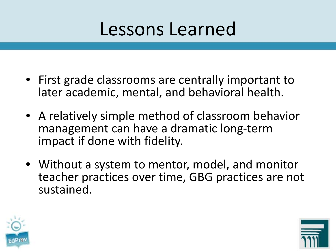#### Lessons Learned

- First grade classrooms are centrally important to later academic, mental, and behavioral health.
- A relatively simple method of classroom behavior management can have a dramatic long-term impact if done with fidelity.
- Without a system to mentor, model, and monitor teacher practices over time, GBG practices are not sustained.



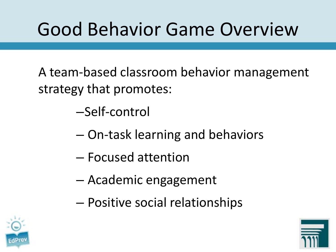## Good Behavior Game Overview

A team-based classroom behavior management strategy that promotes:

–Self-control

- On-task learning and behaviors
- Focused attention
- Academic engagement
- Positive social relationships



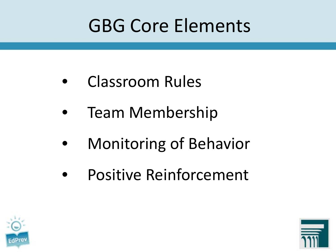### GBG Core Elements

- Classroom Rules
- Team Membership
- Monitoring of Behavior
- Positive Reinforcement



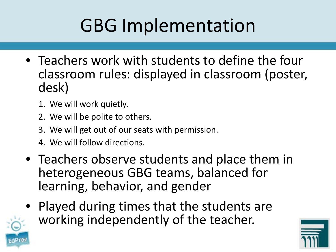## GBG Implementation

- Teachers work with students to define the four classroom rules: displayed in classroom (poster, desk)
	- 1. We will work quietly.
	- 2. We will be polite to others.
	- 3. We will get out of our seats with permission.
	- 4. We will follow directions.
- Teachers observe students and place them in heterogeneous GBG teams, balanced for learning, behavior, and gender
- Played during times that the students are working independently of the teacher.



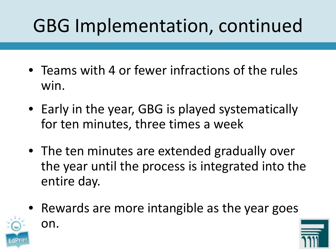## GBG Implementation, continued

- Teams with 4 or fewer infractions of the rules win.
- Early in the year, GBG is played systematically for ten minutes, three times a week
- The ten minutes are extended gradually over the year until the process is integrated into the entire day.
- Rewards are more intangible as the year goes on.

13

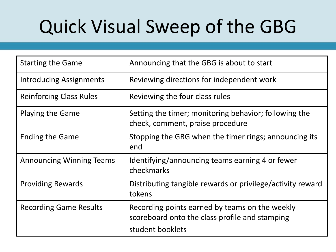## Quick Visual Sweep of the GBG

| <b>Starting the Game</b>        | Announcing that the GBG is about to start                                                                            |  |
|---------------------------------|----------------------------------------------------------------------------------------------------------------------|--|
| <b>Introducing Assignments</b>  | Reviewing directions for independent work                                                                            |  |
| <b>Reinforcing Class Rules</b>  | Reviewing the four class rules                                                                                       |  |
| <b>Playing the Game</b>         | Setting the timer; monitoring behavior; following the<br>check, comment, praise procedure                            |  |
| <b>Ending the Game</b>          | Stopping the GBG when the timer rings; announcing its<br>end                                                         |  |
| <b>Announcing Winning Teams</b> | Identifying/announcing teams earning 4 or fewer<br>checkmarks                                                        |  |
| <b>Providing Rewards</b>        | Distributing tangible rewards or privilege/activity reward<br>tokens                                                 |  |
| <b>Recording Game Results</b>   | Recording points earned by teams on the weekly<br>scoreboard onto the class profile and stamping<br>student booklets |  |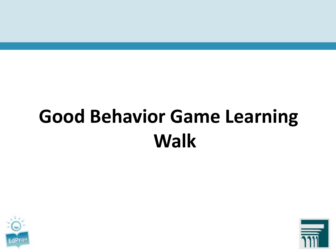# **Good Behavior Game Learning Walk**



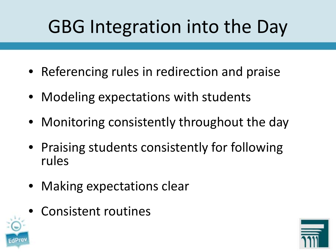## GBG Integration into the Day

- Referencing rules in redirection and praise
- Modeling expectations with students
- Monitoring consistently throughout the day
- Praising students consistently for following rules
- Making expectations clear
- Consistent routines



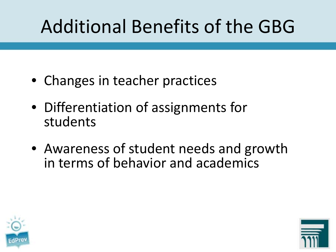## Additional Benefits of the GBG

- Changes in teacher practices
- Differentiation of assignments for students
- Awareness of student needs and growth in terms of behavior and academics



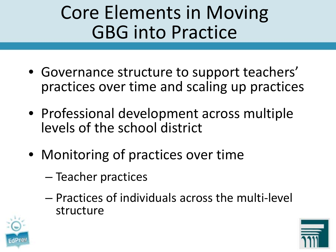### Core Elements in Moving GBG into Practice

- Governance structure to support teachers' practices over time and scaling up practices
- Professional development across multiple levels of the school district
- Monitoring of practices over time
	- Teacher practices
	- Practices of individuals across the multi-level structure



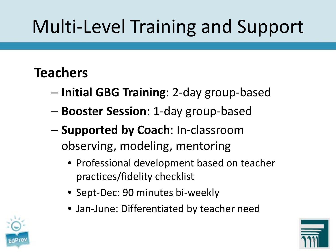## Multi-Level Training and Support

#### **Teachers**

- **Initial GBG Training**: 2-day group-based
- **Booster Session**: 1-day group-based
- **Supported by Coach**: In-classroom observing, modeling, mentoring
	- Professional development based on teacher practices/fidelity checklist
	- Sept-Dec: 90 minutes bi-weekly
	- Jan-June: Differentiated by teacher need



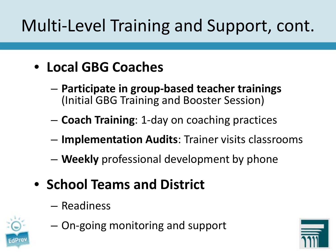### Multi-Level Training and Support, cont.

#### • **Local GBG Coaches**

- **Participate in group-based teacher trainings**  (Initial GBG Training and Booster Session)
- **Coach Training**: 1-day on coaching practices
- **Implementation Audits**: Trainer visits classrooms
- **Weekly** professional development by phone
- **School Teams and District**
	- Readiness



– On-going monitoring and support

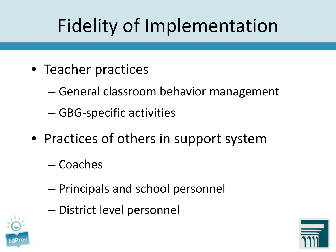## Fidelity of Implementation

- Teacher practices
	- General classroom behavior management
	- GBG-specific activities
- Practices of others in support system
	- Coaches
	- Principals and school personnel
	- District level personnel



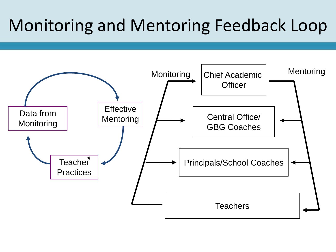#### Monitoring and Mentoring Feedback Loop